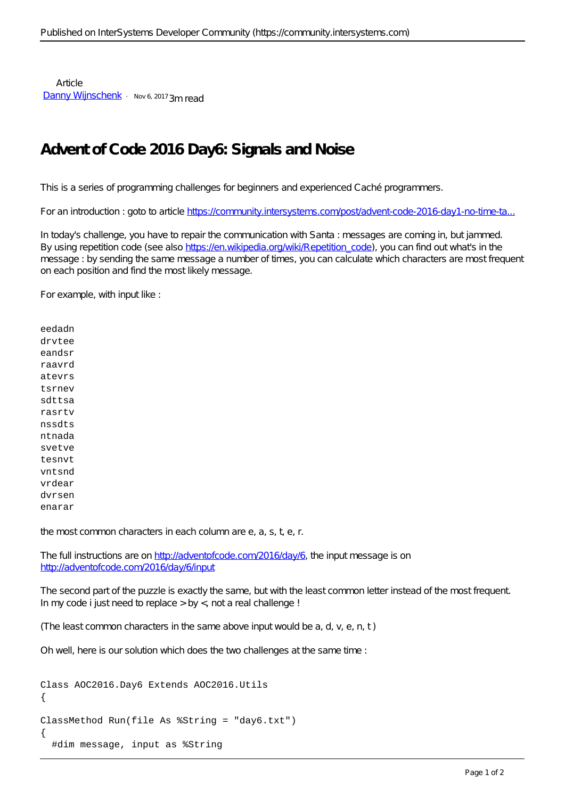**Article** [Danny Wijnschenk](https://community.intersystems.com/user/danny-wijnschenk) · Nov 6, 2017 3m read

## **Advent of Code 2016 Day6: Signals and Noise**

This is a series of programming challenges for beginners and experienced Caché programmers.

For an introduction : goto to article https://community.intersystems.com/post/advent-code-2016-day1-no-time-ta..

In today's challenge, you have to repair the communication with Santa : messages are coming in, but jammed. By using repetition code (see also [https://en.wikipedia.org/wiki/Repetition\\_code\)](https://en.wikipedia.org/wiki/Repetition_code), you can find out what's in the message : by sending the same message a number of times, you can calculate which characters are most frequent on each position and find the most likely message.

For example, with input like :

eedadn drvtee eandsr raavrd atevrs tsrnev sdttsa rasrtv nssdts ntnada svetve tesnvt vntsnd vrdear dvrsen enarar

the most common characters in each column are e, a, s, t, e, r.

The full instructions are on [http://adventofcode.com/2016/day/6,](http://adventofcode.com/2016/day/6) the input message is on <http://adventofcode.com/2016/day/6/input>

The second part of the puzzle is exactly the same, but with the least common letter instead of the most frequent. In my code i just need to replace  $>$  by  $<$ , not a real challenge !

(The least common characters in the same above input would be a, d, v, e, n, t )

Oh well, here is our solution which does the two challenges at the same time :

```
Class AOC2016.Day6 Extends AOC2016.Utils
{
ClassMethod Run(file As %String = "day6.txt")
{
   #dim message, input as %String
```